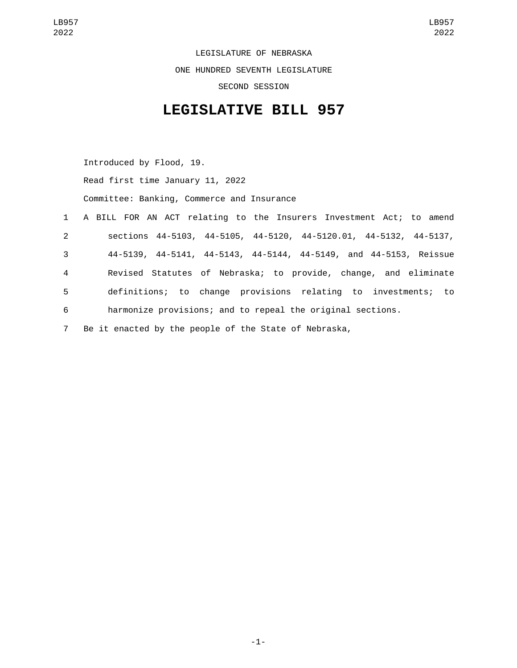LEGISLATURE OF NEBRASKA ONE HUNDRED SEVENTH LEGISLATURE SECOND SESSION

## **LEGISLATIVE BILL 957**

Introduced by Flood, 19. Read first time January 11, 2022 Committee: Banking, Commerce and Insurance

 A BILL FOR AN ACT relating to the Insurers Investment Act; to amend sections 44-5103, 44-5105, 44-5120, 44-5120.01, 44-5132, 44-5137, 44-5139, 44-5141, 44-5143, 44-5144, 44-5149, and 44-5153, Reissue Revised Statutes of Nebraska; to provide, change, and eliminate definitions; to change provisions relating to investments; to harmonize provisions; and to repeal the original sections. Be it enacted by the people of the State of Nebraska,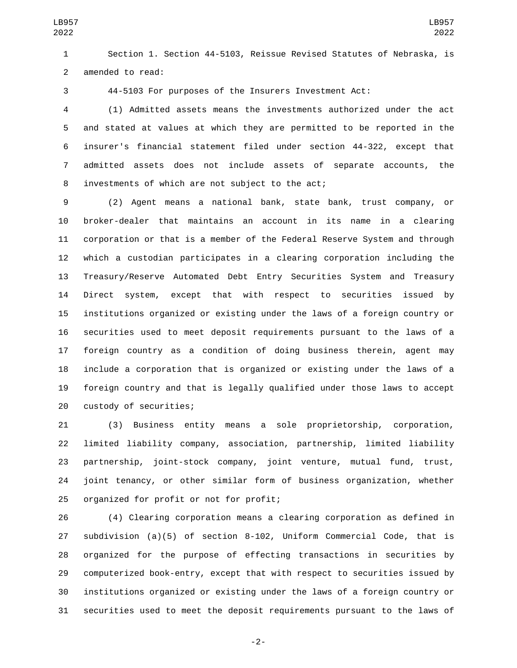Section 1. Section 44-5103, Reissue Revised Statutes of Nebraska, is 2 amended to read:

44-5103 For purposes of the Insurers Investment Act:

 (1) Admitted assets means the investments authorized under the act and stated at values at which they are permitted to be reported in the insurer's financial statement filed under section 44-322, except that admitted assets does not include assets of separate accounts, the 8 investments of which are not subject to the act;

 (2) Agent means a national bank, state bank, trust company, or broker-dealer that maintains an account in its name in a clearing corporation or that is a member of the Federal Reserve System and through which a custodian participates in a clearing corporation including the Treasury/Reserve Automated Debt Entry Securities System and Treasury Direct system, except that with respect to securities issued by institutions organized or existing under the laws of a foreign country or securities used to meet deposit requirements pursuant to the laws of a foreign country as a condition of doing business therein, agent may include a corporation that is organized or existing under the laws of a foreign country and that is legally qualified under those laws to accept 20 custody of securities;

 (3) Business entity means a sole proprietorship, corporation, limited liability company, association, partnership, limited liability partnership, joint-stock company, joint venture, mutual fund, trust, joint tenancy, or other similar form of business organization, whether 25 organized for profit or not for profit;

 (4) Clearing corporation means a clearing corporation as defined in subdivision (a)(5) of section 8-102, Uniform Commercial Code, that is organized for the purpose of effecting transactions in securities by computerized book-entry, except that with respect to securities issued by institutions organized or existing under the laws of a foreign country or securities used to meet the deposit requirements pursuant to the laws of

-2-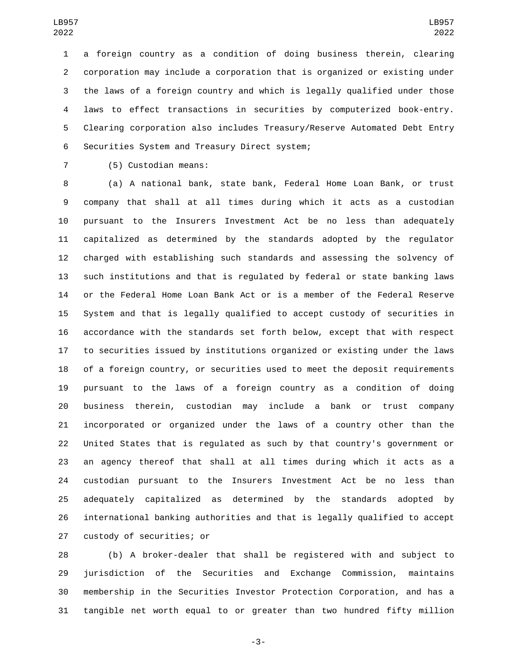a foreign country as a condition of doing business therein, clearing corporation may include a corporation that is organized or existing under the laws of a foreign country and which is legally qualified under those laws to effect transactions in securities by computerized book-entry. Clearing corporation also includes Treasury/Reserve Automated Debt Entry 6 Securities System and Treasury Direct system;

7 (5) Custodian means:

 (a) A national bank, state bank, Federal Home Loan Bank, or trust company that shall at all times during which it acts as a custodian pursuant to the Insurers Investment Act be no less than adequately capitalized as determined by the standards adopted by the regulator charged with establishing such standards and assessing the solvency of such institutions and that is regulated by federal or state banking laws or the Federal Home Loan Bank Act or is a member of the Federal Reserve System and that is legally qualified to accept custody of securities in accordance with the standards set forth below, except that with respect to securities issued by institutions organized or existing under the laws of a foreign country, or securities used to meet the deposit requirements pursuant to the laws of a foreign country as a condition of doing business therein, custodian may include a bank or trust company incorporated or organized under the laws of a country other than the United States that is regulated as such by that country's government or an agency thereof that shall at all times during which it acts as a custodian pursuant to the Insurers Investment Act be no less than adequately capitalized as determined by the standards adopted by international banking authorities and that is legally qualified to accept 27 custody of securities; or

 (b) A broker-dealer that shall be registered with and subject to jurisdiction of the Securities and Exchange Commission, maintains membership in the Securities Investor Protection Corporation, and has a tangible net worth equal to or greater than two hundred fifty million

-3-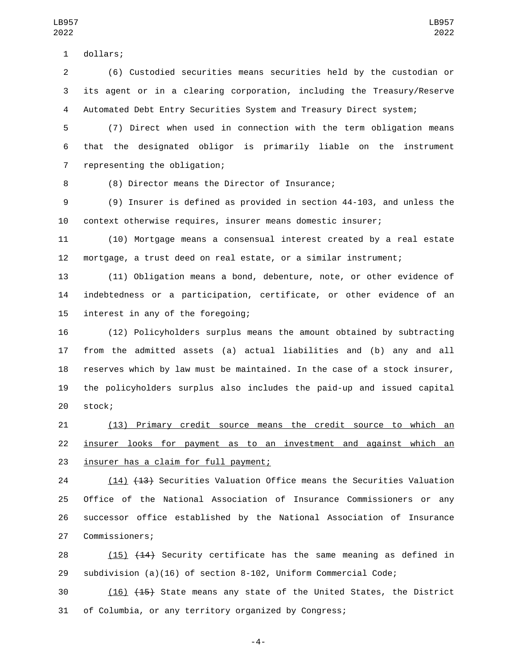dollars;1

 (6) Custodied securities means securities held by the custodian or its agent or in a clearing corporation, including the Treasury/Reserve Automated Debt Entry Securities System and Treasury Direct system;

 (7) Direct when used in connection with the term obligation means that the designated obligor is primarily liable on the instrument 7 representing the obligation;

8 (8) Director means the Director of Insurance;

 (9) Insurer is defined as provided in section 44-103, and unless the context otherwise requires, insurer means domestic insurer;

 (10) Mortgage means a consensual interest created by a real estate mortgage, a trust deed on real estate, or a similar instrument;

 (11) Obligation means a bond, debenture, note, or other evidence of indebtedness or a participation, certificate, or other evidence of an 15 interest in any of the foregoing;

 (12) Policyholders surplus means the amount obtained by subtracting from the admitted assets (a) actual liabilities and (b) any and all reserves which by law must be maintained. In the case of a stock insurer, the policyholders surplus also includes the paid-up and issued capital 20 stock;

 (13) Primary credit source means the credit source to which an insurer looks for payment as to an investment and against which an 23 insurer has a claim for full payment;

 (14) (13) Securities Valuation Office means the Securities Valuation Office of the National Association of Insurance Commissioners or any successor office established by the National Association of Insurance 27 Commissioners;

28 (15) (14) Security certificate has the same meaning as defined in subdivision (a)(16) of section 8-102, Uniform Commercial Code;

 (16) (15) State means any state of the United States, the District of Columbia, or any territory organized by Congress;

-4-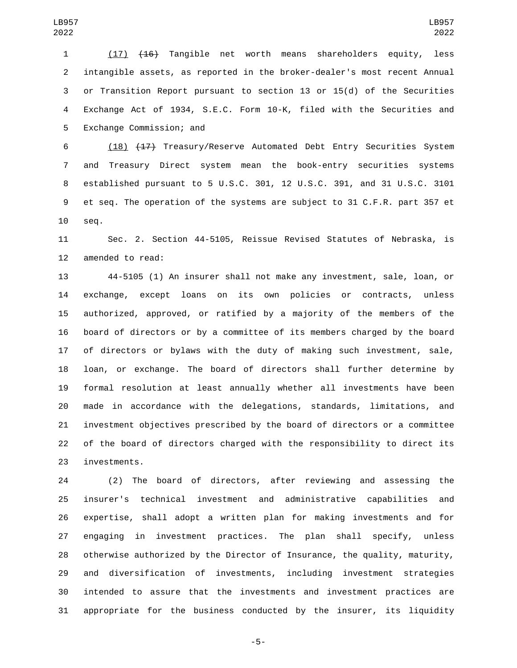(17) (16) Tangible net worth means shareholders equity, less intangible assets, as reported in the broker-dealer's most recent Annual or Transition Report pursuant to section 13 or 15(d) of the Securities Exchange Act of 1934, S.E.C. Form 10-K, filed with the Securities and 5 Exchange Commission; and

 (18) (17) Treasury/Reserve Automated Debt Entry Securities System and Treasury Direct system mean the book-entry securities systems established pursuant to 5 U.S.C. 301, 12 U.S.C. 391, and 31 U.S.C. 3101 et seq. The operation of the systems are subject to 31 C.F.R. part 357 et 10 seq.

 Sec. 2. Section 44-5105, Reissue Revised Statutes of Nebraska, is 12 amended to read:

 44-5105 (1) An insurer shall not make any investment, sale, loan, or exchange, except loans on its own policies or contracts, unless authorized, approved, or ratified by a majority of the members of the board of directors or by a committee of its members charged by the board of directors or bylaws with the duty of making such investment, sale, loan, or exchange. The board of directors shall further determine by formal resolution at least annually whether all investments have been made in accordance with the delegations, standards, limitations, and investment objectives prescribed by the board of directors or a committee of the board of directors charged with the responsibility to direct its 23 investments.

 (2) The board of directors, after reviewing and assessing the insurer's technical investment and administrative capabilities and expertise, shall adopt a written plan for making investments and for engaging in investment practices. The plan shall specify, unless otherwise authorized by the Director of Insurance, the quality, maturity, and diversification of investments, including investment strategies intended to assure that the investments and investment practices are appropriate for the business conducted by the insurer, its liquidity

-5-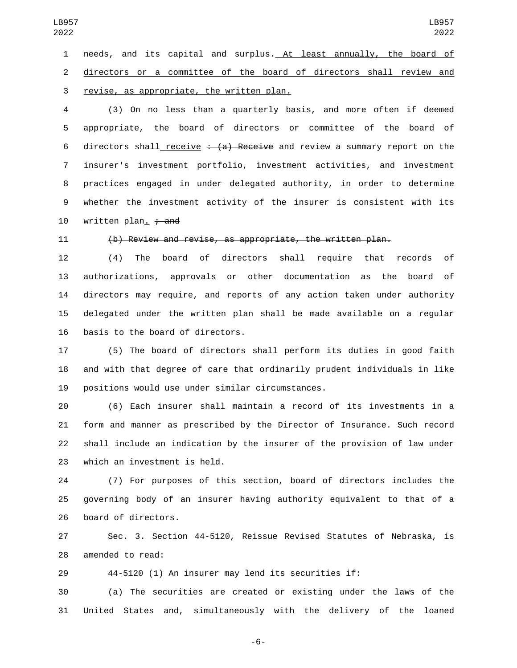needs, and its capital and surplus. At least annually, the board of directors or a committee of the board of directors shall review and 3 revise, as appropriate, the written plan.

 (3) On no less than a quarterly basis, and more often if deemed appropriate, the board of directors or committee of the board of 6 directors shall receive  $\div$  (a) Receive and review a summary report on the insurer's investment portfolio, investment activities, and investment practices engaged in under delegated authority, in order to determine whether the investment activity of the insurer is consistent with its  $w$ ritten plan.  $\div$  and

## (b) Review and revise, as appropriate, the written plan.

 (4) The board of directors shall require that records of authorizations, approvals or other documentation as the board of directors may require, and reports of any action taken under authority delegated under the written plan shall be made available on a regular 16 basis to the board of directors.

 (5) The board of directors shall perform its duties in good faith and with that degree of care that ordinarily prudent individuals in like 19 positions would use under similar circumstances.

 (6) Each insurer shall maintain a record of its investments in a form and manner as prescribed by the Director of Insurance. Such record shall include an indication by the insurer of the provision of law under 23 which an investment is held.

 (7) For purposes of this section, board of directors includes the governing body of an insurer having authority equivalent to that of a 26 board of directors.

 Sec. 3. Section 44-5120, Reissue Revised Statutes of Nebraska, is 28 amended to read:

44-5120 (1) An insurer may lend its securities if:

 (a) The securities are created or existing under the laws of the United States and, simultaneously with the delivery of the loaned

-6-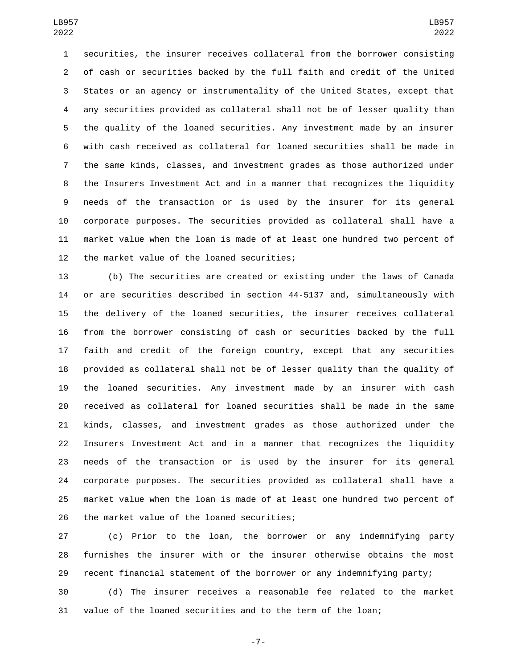securities, the insurer receives collateral from the borrower consisting of cash or securities backed by the full faith and credit of the United States or an agency or instrumentality of the United States, except that any securities provided as collateral shall not be of lesser quality than the quality of the loaned securities. Any investment made by an insurer with cash received as collateral for loaned securities shall be made in the same kinds, classes, and investment grades as those authorized under the Insurers Investment Act and in a manner that recognizes the liquidity needs of the transaction or is used by the insurer for its general corporate purposes. The securities provided as collateral shall have a market value when the loan is made of at least one hundred two percent of 12 the market value of the loaned securities;

 (b) The securities are created or existing under the laws of Canada or are securities described in section 44-5137 and, simultaneously with the delivery of the loaned securities, the insurer receives collateral from the borrower consisting of cash or securities backed by the full faith and credit of the foreign country, except that any securities provided as collateral shall not be of lesser quality than the quality of the loaned securities. Any investment made by an insurer with cash received as collateral for loaned securities shall be made in the same kinds, classes, and investment grades as those authorized under the Insurers Investment Act and in a manner that recognizes the liquidity needs of the transaction or is used by the insurer for its general corporate purposes. The securities provided as collateral shall have a market value when the loan is made of at least one hundred two percent of 26 the market value of the loaned securities;

 (c) Prior to the loan, the borrower or any indemnifying party furnishes the insurer with or the insurer otherwise obtains the most recent financial statement of the borrower or any indemnifying party;

 (d) The insurer receives a reasonable fee related to the market value of the loaned securities and to the term of the loan;

-7-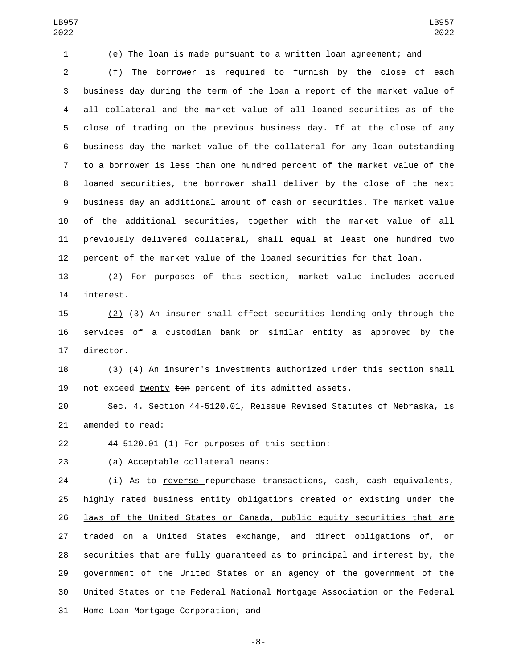(e) The loan is made pursuant to a written loan agreement; and

 (f) The borrower is required to furnish by the close of each business day during the term of the loan a report of the market value of all collateral and the market value of all loaned securities as of the close of trading on the previous business day. If at the close of any business day the market value of the collateral for any loan outstanding to a borrower is less than one hundred percent of the market value of the loaned securities, the borrower shall deliver by the close of the next business day an additional amount of cash or securities. The market value of the additional securities, together with the market value of all previously delivered collateral, shall equal at least one hundred two percent of the market value of the loaned securities for that loan.

 (2) For purposes of this section, market value includes accrued interest.

15 (2)  $(3)$  An insurer shall effect securities lending only through the services of a custodian bank or similar entity as approved by the 17 director.

 (3) (4) An insurer's investments authorized under this section shall 19 not exceed twenty ten percent of its admitted assets.

 Sec. 4. Section 44-5120.01, Reissue Revised Statutes of Nebraska, is 21 amended to read:

44-5120.01 (1) For purposes of this section:22

23 (a) Acceptable collateral means:

24 (i) As to reverse repurchase transactions, cash, cash equivalents, highly rated business entity obligations created or existing under the 26 laws of the United States or Canada, public equity securities that are traded on a United States exchange, and direct obligations of, or securities that are fully guaranteed as to principal and interest by, the government of the United States or an agency of the government of the United States or the Federal National Mortgage Association or the Federal 31 Home Loan Mortgage Corporation; and

-8-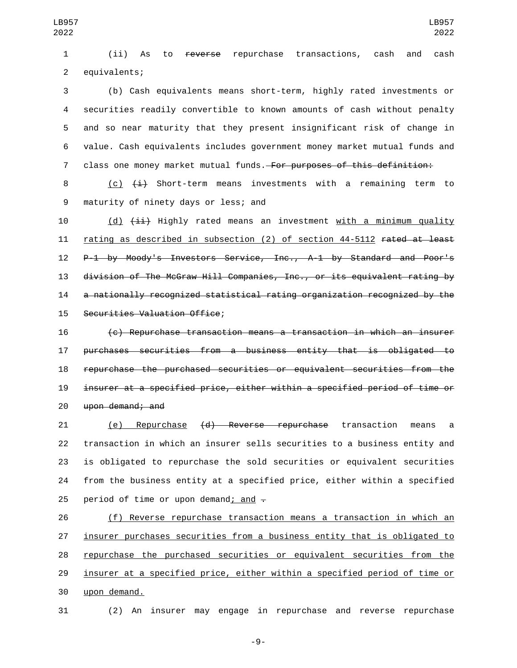(ii) As to reverse repurchase transactions, cash and cash 2 equivalents;

 (b) Cash equivalents means short-term, highly rated investments or securities readily convertible to known amounts of cash without penalty and so near maturity that they present insignificant risk of change in value. Cash equivalents includes government money market mutual funds and 7 class one money market mutual funds. For purposes of this definition:

8 (c)  $\leftarrow{4}$  Short-term means investments with a remaining term to 9 maturity of ninety days or less; and

10 (d)  $\overline{4i}$  Highly rated means an investment with a minimum quality rating as described in subsection (2) of section 44-5112 rated at least P-1 by Moody's Investors Service, Inc., A-1 by Standard and Poor's division of The McGraw Hill Companies, Inc., or its equivalent rating by a nationally recognized statistical rating organization recognized by the 15 Securities Valuation Office;

 (c) Repurchase transaction means a transaction in which an insurer purchases securities from a business entity that is obligated to repurchase the purchased securities or equivalent securities from the insurer at a specified price, either within a specified period of time or 20 upon demand; and

 (e) Repurchase (d) Reverse repurchase transaction means a transaction in which an insurer sells securities to a business entity and is obligated to repurchase the sold securities or equivalent securities from the business entity at a specified price, either within a specified 25 period of time or upon demand; and  $\overline{z}$ 

 (f) Reverse repurchase transaction means a transaction in which an insurer purchases securities from a business entity that is obligated to repurchase the purchased securities or equivalent securities from the insurer at a specified price, either within a specified period of time or upon demand.30

(2) An insurer may engage in repurchase and reverse repurchase

-9-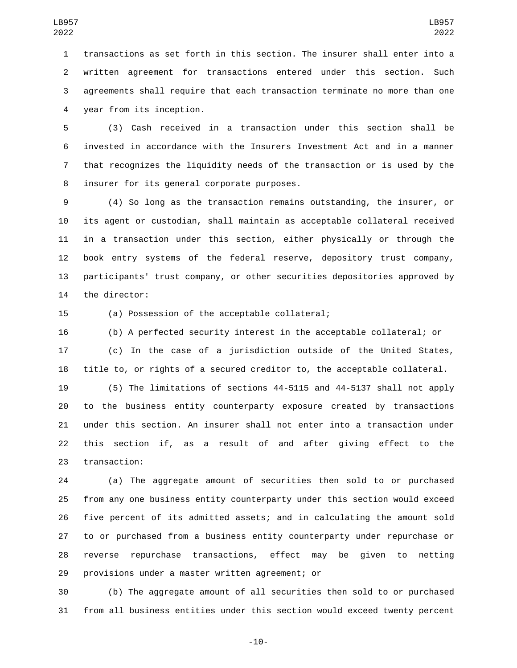transactions as set forth in this section. The insurer shall enter into a written agreement for transactions entered under this section. Such agreements shall require that each transaction terminate no more than one year from its inception.4

 (3) Cash received in a transaction under this section shall be invested in accordance with the Insurers Investment Act and in a manner that recognizes the liquidity needs of the transaction or is used by the 8 insurer for its general corporate purposes.

 (4) So long as the transaction remains outstanding, the insurer, or its agent or custodian, shall maintain as acceptable collateral received in a transaction under this section, either physically or through the book entry systems of the federal reserve, depository trust company, participants' trust company, or other securities depositories approved by 14 the director:

15 (a) Possession of the acceptable collateral;

 (b) A perfected security interest in the acceptable collateral; or (c) In the case of a jurisdiction outside of the United States, title to, or rights of a secured creditor to, the acceptable collateral.

 (5) The limitations of sections 44-5115 and 44-5137 shall not apply to the business entity counterparty exposure created by transactions under this section. An insurer shall not enter into a transaction under this section if, as a result of and after giving effect to the 23 transaction:

 (a) The aggregate amount of securities then sold to or purchased from any one business entity counterparty under this section would exceed five percent of its admitted assets; and in calculating the amount sold to or purchased from a business entity counterparty under repurchase or reverse repurchase transactions, effect may be given to netting 29 provisions under a master written agreement; or

 (b) The aggregate amount of all securities then sold to or purchased from all business entities under this section would exceed twenty percent

-10-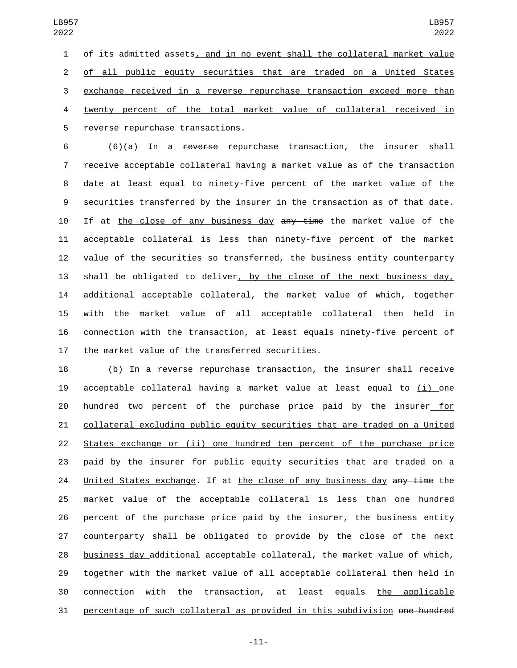of its admitted assets, and in no event shall the collateral market value of all public equity securities that are traded on a United States exchange received in a reverse repurchase transaction exceed more than twenty percent of the total market value of collateral received in 5 reverse repurchase transactions.

 (6)(a) In a reverse repurchase transaction, the insurer shall receive acceptable collateral having a market value as of the transaction date at least equal to ninety-five percent of the market value of the securities transferred by the insurer in the transaction as of that date. 10 If at the close of any business day any time the market value of the acceptable collateral is less than ninety-five percent of the market value of the securities so transferred, the business entity counterparty shall be obligated to deliver, by the close of the next business day, additional acceptable collateral, the market value of which, together with the market value of all acceptable collateral then held in connection with the transaction, at least equals ninety-five percent of 17 the market value of the transferred securities.

 (b) In a reverse repurchase transaction, the insurer shall receive acceptable collateral having a market value at least equal to (i) one hundred two percent of the purchase price paid by the insurer for collateral excluding public equity securities that are traded on a United States exchange or (ii) one hundred ten percent of the purchase price paid by the insurer for public equity securities that are traded on a 24 United States exchange. If at the close of any business day any time the market value of the acceptable collateral is less than one hundred percent of the purchase price paid by the insurer, the business entity counterparty shall be obligated to provide by the close of the next business day additional acceptable collateral, the market value of which, together with the market value of all acceptable collateral then held in connection with the transaction, at least equals the applicable percentage of such collateral as provided in this subdivision one hundred

-11-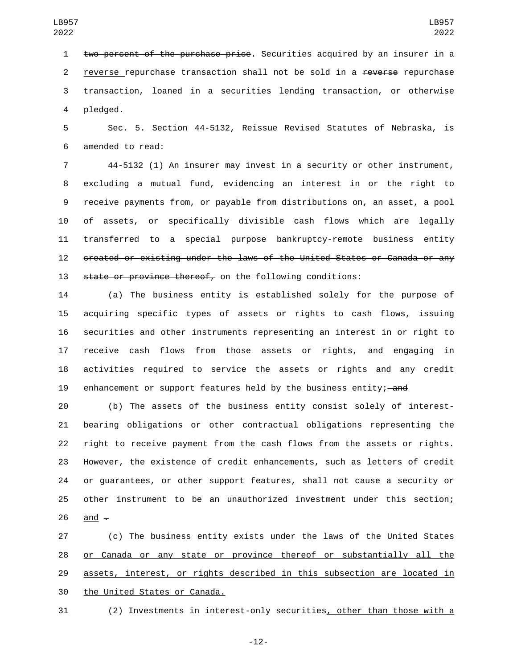two percent of the purchase price. Securities acquired by an insurer in a 2 reverse repurchase transaction shall not be sold in a reverse repurchase transaction, loaned in a securities lending transaction, or otherwise 4 pledged.

 Sec. 5. Section 44-5132, Reissue Revised Statutes of Nebraska, is 6 amended to read:

 44-5132 (1) An insurer may invest in a security or other instrument, excluding a mutual fund, evidencing an interest in or the right to receive payments from, or payable from distributions on, an asset, a pool of assets, or specifically divisible cash flows which are legally transferred to a special purpose bankruptcy-remote business entity created or existing under the laws of the United States or Canada or any state or province thereof, on the following conditions:

 (a) The business entity is established solely for the purpose of acquiring specific types of assets or rights to cash flows, issuing securities and other instruments representing an interest in or right to receive cash flows from those assets or rights, and engaging in activities required to service the assets or rights and any credit 19 enhancement or support features held by the business entity; and

 (b) The assets of the business entity consist solely of interest- bearing obligations or other contractual obligations representing the right to receive payment from the cash flows from the assets or rights. However, the existence of credit enhancements, such as letters of credit or guarantees, or other support features, shall not cause a security or 25 other instrument to be an unauthorized investment under this section; 26 and  $\overline{z}$ 

 (c) The business entity exists under the laws of the United States or Canada or any state or province thereof or substantially all the 29 assets, interest, or rights described in this subsection are located in 30 the United States or Canada.

(2) Investments in interest-only securities, other than those with a

-12-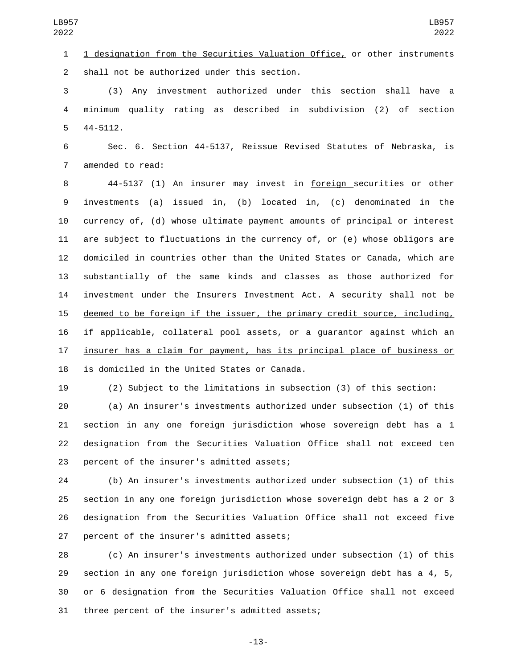1 designation from the Securities Valuation Office, or other instruments 2 shall not be authorized under this section.

 (3) Any investment authorized under this section shall have a minimum quality rating as described in subdivision (2) of section  $44 - 5112$ .

 Sec. 6. Section 44-5137, Reissue Revised Statutes of Nebraska, is 7 amended to read:

 44-5137 (1) An insurer may invest in foreign securities or other investments (a) issued in, (b) located in, (c) denominated in the currency of, (d) whose ultimate payment amounts of principal or interest are subject to fluctuations in the currency of, or (e) whose obligors are domiciled in countries other than the United States or Canada, which are substantially of the same kinds and classes as those authorized for 14 investment under the Insurers Investment Act. A security shall not be deemed to be foreign if the issuer, the primary credit source, including, if applicable, collateral pool assets, or a guarantor against which an insurer has a claim for payment, has its principal place of business or 18 is domiciled in the United States or Canada.

(2) Subject to the limitations in subsection (3) of this section:

 (a) An insurer's investments authorized under subsection (1) of this section in any one foreign jurisdiction whose sovereign debt has a 1 designation from the Securities Valuation Office shall not exceed ten 23 percent of the insurer's admitted assets;

 (b) An insurer's investments authorized under subsection (1) of this section in any one foreign jurisdiction whose sovereign debt has a 2 or 3 designation from the Securities Valuation Office shall not exceed five 27 percent of the insurer's admitted assets;

 (c) An insurer's investments authorized under subsection (1) of this section in any one foreign jurisdiction whose sovereign debt has a 4, 5, or 6 designation from the Securities Valuation Office shall not exceed 31 three percent of the insurer's admitted assets;

-13-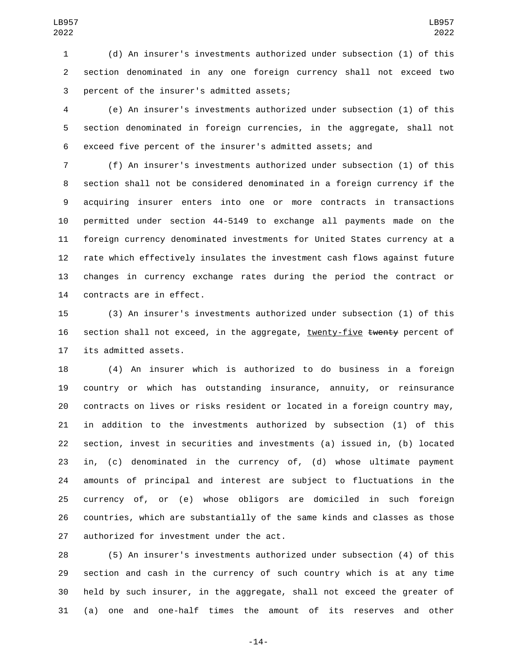(d) An insurer's investments authorized under subsection (1) of this section denominated in any one foreign currency shall not exceed two 3 percent of the insurer's admitted assets;

 (e) An insurer's investments authorized under subsection (1) of this section denominated in foreign currencies, in the aggregate, shall not exceed five percent of the insurer's admitted assets; and

 (f) An insurer's investments authorized under subsection (1) of this section shall not be considered denominated in a foreign currency if the acquiring insurer enters into one or more contracts in transactions permitted under section 44-5149 to exchange all payments made on the foreign currency denominated investments for United States currency at a rate which effectively insulates the investment cash flows against future changes in currency exchange rates during the period the contract or 14 contracts are in effect.

 (3) An insurer's investments authorized under subsection (1) of this 16 section shall not exceed, in the aggregate, twenty-five twenty percent of 17 its admitted assets.

 (4) An insurer which is authorized to do business in a foreign country or which has outstanding insurance, annuity, or reinsurance contracts on lives or risks resident or located in a foreign country may, in addition to the investments authorized by subsection (1) of this section, invest in securities and investments (a) issued in, (b) located in, (c) denominated in the currency of, (d) whose ultimate payment amounts of principal and interest are subject to fluctuations in the currency of, or (e) whose obligors are domiciled in such foreign countries, which are substantially of the same kinds and classes as those 27 authorized for investment under the act.

 (5) An insurer's investments authorized under subsection (4) of this section and cash in the currency of such country which is at any time held by such insurer, in the aggregate, shall not exceed the greater of (a) one and one-half times the amount of its reserves and other

-14-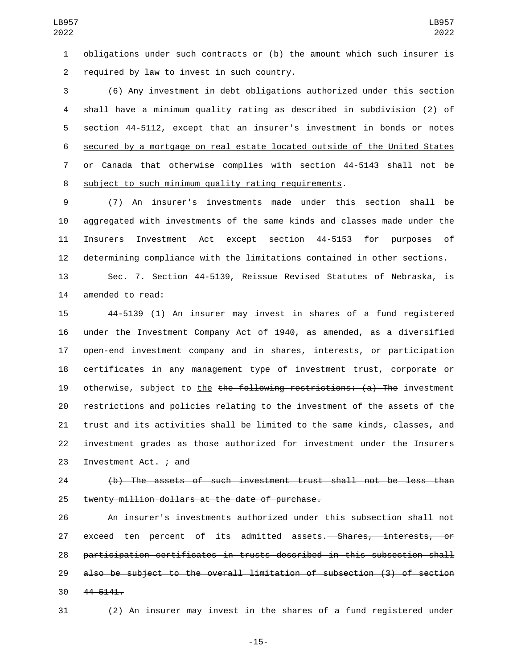obligations under such contracts or (b) the amount which such insurer is 2 required by law to invest in such country.

 (6) Any investment in debt obligations authorized under this section shall have a minimum quality rating as described in subdivision (2) of section 44-5112, except that an insurer's investment in bonds or notes secured by a mortgage on real estate located outside of the United States or Canada that otherwise complies with section 44-5143 shall not be subject to such minimum quality rating requirements.

 (7) An insurer's investments made under this section shall be aggregated with investments of the same kinds and classes made under the Insurers Investment Act except section 44-5153 for purposes of determining compliance with the limitations contained in other sections.

 Sec. 7. Section 44-5139, Reissue Revised Statutes of Nebraska, is 14 amended to read:

 44-5139 (1) An insurer may invest in shares of a fund registered under the Investment Company Act of 1940, as amended, as a diversified open-end investment company and in shares, interests, or participation certificates in any management type of investment trust, corporate or 19 otherwise, subject to the the following restrictions: (a) The investment restrictions and policies relating to the investment of the assets of the trust and its activities shall be limited to the same kinds, classes, and investment grades as those authorized for investment under the Insurers 23 Investment Act<sub>1</sub> + and

 (b) The assets of such investment trust shall not be less than 25 twenty million dollars at the date of purchase.

 An insurer's investments authorized under this subsection shall not 27 exceed ten percent of its admitted assets.<del>— Shares, interests, or</del> participation certificates in trusts described in this subsection shall also be subject to the overall limitation of subsection (3) of section 30 44-5141.

(2) An insurer may invest in the shares of a fund registered under

-15-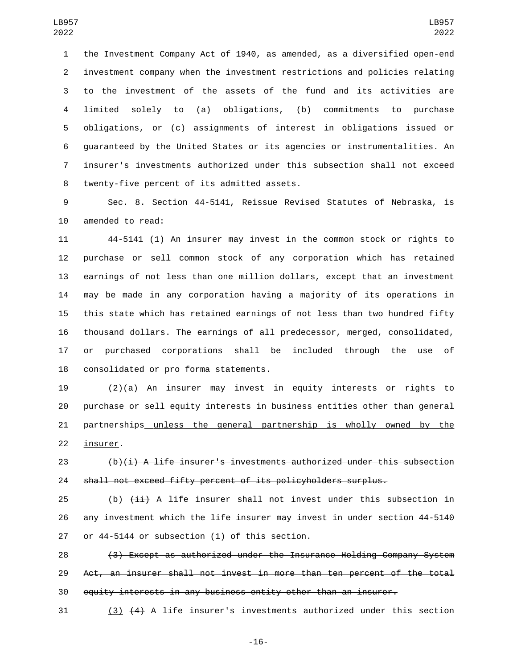the Investment Company Act of 1940, as amended, as a diversified open-end investment company when the investment restrictions and policies relating to the investment of the assets of the fund and its activities are limited solely to (a) obligations, (b) commitments to purchase obligations, or (c) assignments of interest in obligations issued or guaranteed by the United States or its agencies or instrumentalities. An insurer's investments authorized under this subsection shall not exceed 8 twenty-five percent of its admitted assets.

 Sec. 8. Section 44-5141, Reissue Revised Statutes of Nebraska, is 10 amended to read:

 44-5141 (1) An insurer may invest in the common stock or rights to purchase or sell common stock of any corporation which has retained earnings of not less than one million dollars, except that an investment may be made in any corporation having a majority of its operations in this state which has retained earnings of not less than two hundred fifty thousand dollars. The earnings of all predecessor, merged, consolidated, or purchased corporations shall be included through the use of 18 consolidated or pro forma statements.

 (2)(a) An insurer may invest in equity interests or rights to purchase or sell equity interests in business entities other than general partnerships unless the general partnership is wholly owned by the 22 insurer.

 (b)(i) A life insurer's investments authorized under this subsection shall not exceed fifty percent of its policyholders surplus.

25  $(b)$   $(iii)$  A life insurer shall not invest under this subsection in any investment which the life insurer may invest in under section 44-5140 27 or 44-5144 or subsection (1) of this section.

 (3) Except as authorized under the Insurance Holding Company System Act, an insurer shall not invest in more than ten percent of the total equity interests in any business entity other than an insurer.

(3) (4) A life insurer's investments authorized under this section

-16-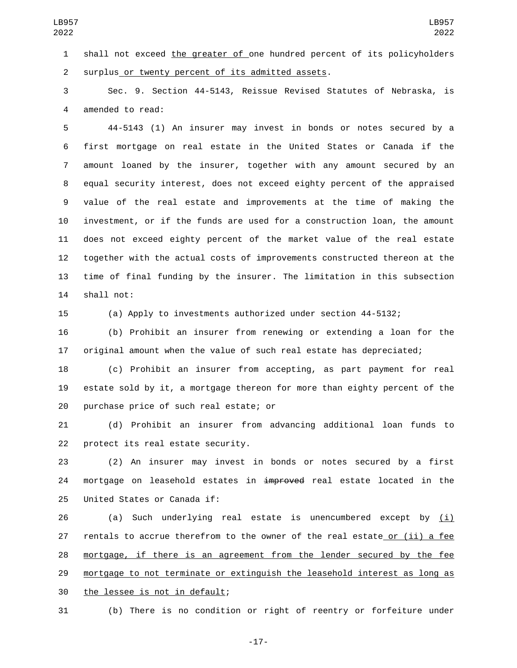shall not exceed the greater of one hundred percent of its policyholders 2 surplus or twenty percent of its admitted assets.

 Sec. 9. Section 44-5143, Reissue Revised Statutes of Nebraska, is 4 amended to read:

 44-5143 (1) An insurer may invest in bonds or notes secured by a first mortgage on real estate in the United States or Canada if the amount loaned by the insurer, together with any amount secured by an equal security interest, does not exceed eighty percent of the appraised value of the real estate and improvements at the time of making the investment, or if the funds are used for a construction loan, the amount does not exceed eighty percent of the market value of the real estate together with the actual costs of improvements constructed thereon at the time of final funding by the insurer. The limitation in this subsection 14 shall not:

(a) Apply to investments authorized under section 44-5132;

 (b) Prohibit an insurer from renewing or extending a loan for the original amount when the value of such real estate has depreciated;

 (c) Prohibit an insurer from accepting, as part payment for real estate sold by it, a mortgage thereon for more than eighty percent of the 20 purchase price of such real estate; or

 (d) Prohibit an insurer from advancing additional loan funds to 22 protect its real estate security.

 (2) An insurer may invest in bonds or notes secured by a first 24 mortgage on leasehold estates in  $\frac{1}{2}$  and  $\frac{1}{2}$  and  $\frac{1}{2}$  and  $\frac{1}{2}$  and  $\frac{1}{2}$  and  $\frac{1}{2}$  and  $\frac{1}{2}$  and  $\frac{1}{2}$  and  $\frac{1}{2}$  and  $\frac{1}{2}$  and  $\frac{1}{2}$  and  $\frac{1}{2}$  and  $\frac{1}{2}$  and  $\frac$ 25 United States or Canada if:

 $(a)$  Such underlying real estate is unencumbered except by  $(i)$  rentals to accrue therefrom to the owner of the real estate or (ii) a fee mortgage, if there is an agreement from the lender secured by the fee mortgage to not terminate or extinguish the leasehold interest as long as 30 the lessee is not in default;

(b) There is no condition or right of reentry or forfeiture under

-17-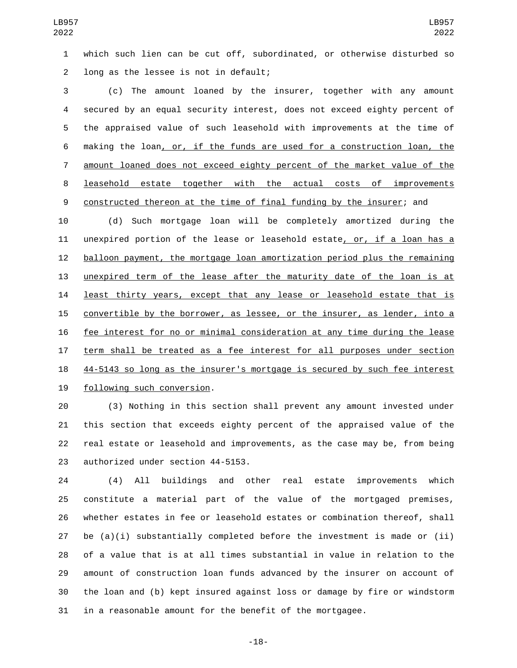which such lien can be cut off, subordinated, or otherwise disturbed so 2 long as the lessee is not in default;

 (c) The amount loaned by the insurer, together with any amount secured by an equal security interest, does not exceed eighty percent of the appraised value of such leasehold with improvements at the time of making the loan, or, if the funds are used for a construction loan, the amount loaned does not exceed eighty percent of the market value of the leasehold estate together with the actual costs of improvements constructed thereon at the time of final funding by the insurer; and

 (d) Such mortgage loan will be completely amortized during the unexpired portion of the lease or leasehold estate, or, if a loan has a balloon payment, the mortgage loan amortization period plus the remaining unexpired term of the lease after the maturity date of the loan is at **least thirty years, except that any lease or leasehold estate that is**  convertible by the borrower, as lessee, or the insurer, as lender, into a fee interest for no or minimal consideration at any time during the lease term shall be treated as a fee interest for all purposes under section 44-5143 so long as the insurer's mortgage is secured by such fee interest 19 following such conversion.

 (3) Nothing in this section shall prevent any amount invested under this section that exceeds eighty percent of the appraised value of the real estate or leasehold and improvements, as the case may be, from being 23 authorized under section 44-5153.

 (4) All buildings and other real estate improvements which constitute a material part of the value of the mortgaged premises, whether estates in fee or leasehold estates or combination thereof, shall be (a)(i) substantially completed before the investment is made or (ii) of a value that is at all times substantial in value in relation to the amount of construction loan funds advanced by the insurer on account of the loan and (b) kept insured against loss or damage by fire or windstorm in a reasonable amount for the benefit of the mortgagee.

-18-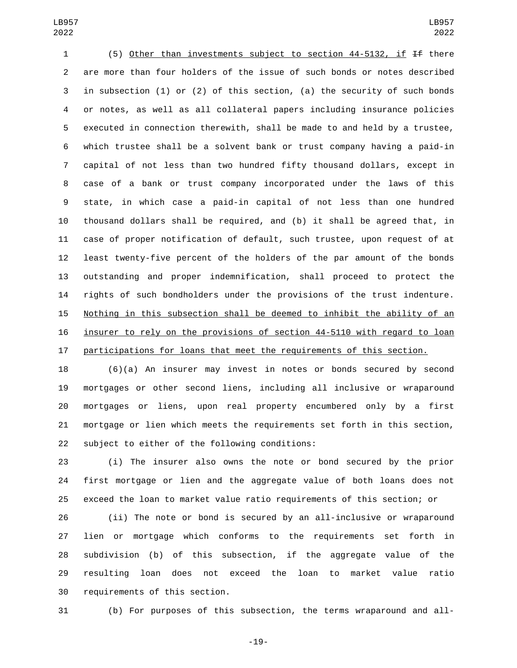(5) Other than investments subject to section 44-5132, if If there are more than four holders of the issue of such bonds or notes described in subsection (1) or (2) of this section, (a) the security of such bonds or notes, as well as all collateral papers including insurance policies executed in connection therewith, shall be made to and held by a trustee, which trustee shall be a solvent bank or trust company having a paid-in capital of not less than two hundred fifty thousand dollars, except in case of a bank or trust company incorporated under the laws of this state, in which case a paid-in capital of not less than one hundred thousand dollars shall be required, and (b) it shall be agreed that, in case of proper notification of default, such trustee, upon request of at least twenty-five percent of the holders of the par amount of the bonds outstanding and proper indemnification, shall proceed to protect the rights of such bondholders under the provisions of the trust indenture. Nothing in this subsection shall be deemed to inhibit the ability of an insurer to rely on the provisions of section 44-5110 with regard to loan participations for loans that meet the requirements of this section.

 (6)(a) An insurer may invest in notes or bonds secured by second mortgages or other second liens, including all inclusive or wraparound mortgages or liens, upon real property encumbered only by a first mortgage or lien which meets the requirements set forth in this section, 22 subject to either of the following conditions:

 (i) The insurer also owns the note or bond secured by the prior first mortgage or lien and the aggregate value of both loans does not exceed the loan to market value ratio requirements of this section; or

 (ii) The note or bond is secured by an all-inclusive or wraparound lien or mortgage which conforms to the requirements set forth in subdivision (b) of this subsection, if the aggregate value of the resulting loan does not exceed the loan to market value ratio 30 requirements of this section.

(b) For purposes of this subsection, the terms wraparound and all-

-19-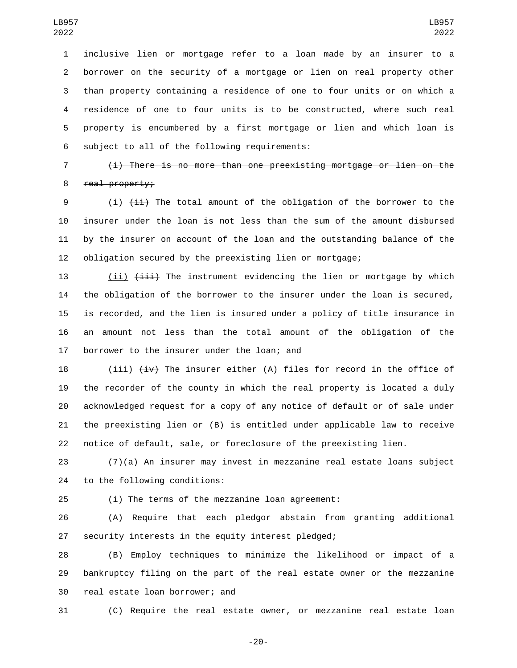inclusive lien or mortgage refer to a loan made by an insurer to a borrower on the security of a mortgage or lien on real property other than property containing a residence of one to four units or on which a residence of one to four units is to be constructed, where such real property is encumbered by a first mortgage or lien and which loan is 6 subject to all of the following requirements:

 (i) There is no more than one preexisting mortgage or lien on the 8 real property;

9 (i)  $\{\pm i\}$  The total amount of the obligation of the borrower to the insurer under the loan is not less than the sum of the amount disbursed by the insurer on account of the loan and the outstanding balance of the obligation secured by the preexisting lien or mortgage;

13 (ii) (iii) The instrument evidencing the lien or mortgage by which the obligation of the borrower to the insurer under the loan is secured, is recorded, and the lien is insured under a policy of title insurance in an amount not less than the total amount of the obligation of the 17 borrower to the insurer under the loan; and

18 (iii)  $\overline{4v}$  The insurer either (A) files for record in the office of the recorder of the county in which the real property is located a duly acknowledged request for a copy of any notice of default or of sale under the preexisting lien or (B) is entitled under applicable law to receive notice of default, sale, or foreclosure of the preexisting lien.

 (7)(a) An insurer may invest in mezzanine real estate loans subject 24 to the following conditions:

(i) The terms of the mezzanine loan agreement:

 (A) Require that each pledgor abstain from granting additional security interests in the equity interest pledged;

 (B) Employ techniques to minimize the likelihood or impact of a bankruptcy filing on the part of the real estate owner or the mezzanine 30 real estate loan borrower; and

(C) Require the real estate owner, or mezzanine real estate loan

-20-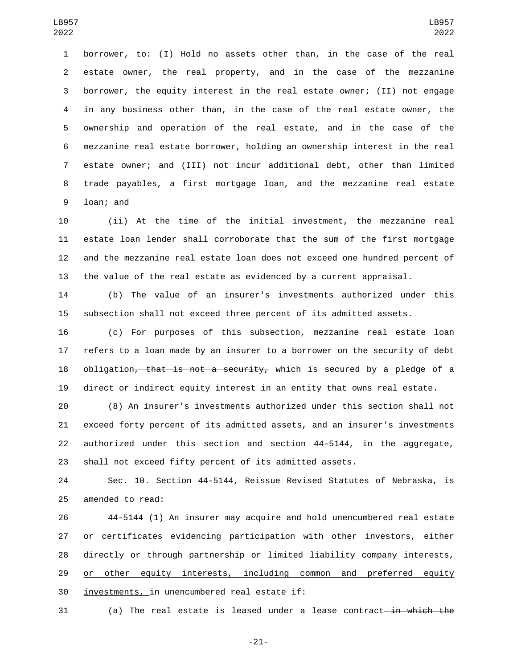borrower, to: (I) Hold no assets other than, in the case of the real estate owner, the real property, and in the case of the mezzanine borrower, the equity interest in the real estate owner; (II) not engage in any business other than, in the case of the real estate owner, the ownership and operation of the real estate, and in the case of the mezzanine real estate borrower, holding an ownership interest in the real estate owner; and (III) not incur additional debt, other than limited trade payables, a first mortgage loan, and the mezzanine real estate 9 loan; and

 (ii) At the time of the initial investment, the mezzanine real estate loan lender shall corroborate that the sum of the first mortgage and the mezzanine real estate loan does not exceed one hundred percent of the value of the real estate as evidenced by a current appraisal.

 (b) The value of an insurer's investments authorized under this subsection shall not exceed three percent of its admitted assets.

 (c) For purposes of this subsection, mezzanine real estate loan refers to a loan made by an insurer to a borrower on the security of debt 18 obligation<del>, that is not a security,</del> which is secured by a pledge of a direct or indirect equity interest in an entity that owns real estate.

 (8) An insurer's investments authorized under this section shall not exceed forty percent of its admitted assets, and an insurer's investments authorized under this section and section 44-5144, in the aggregate, shall not exceed fifty percent of its admitted assets.

 Sec. 10. Section 44-5144, Reissue Revised Statutes of Nebraska, is 25 amended to read:

 44-5144 (1) An insurer may acquire and hold unencumbered real estate or certificates evidencing participation with other investors, either directly or through partnership or limited liability company interests, 29 or other equity interests, including common and preferred equity 30 investments, in unencumbered real estate if:

31 (a) The real estate is leased under a lease contract—in which the

-21-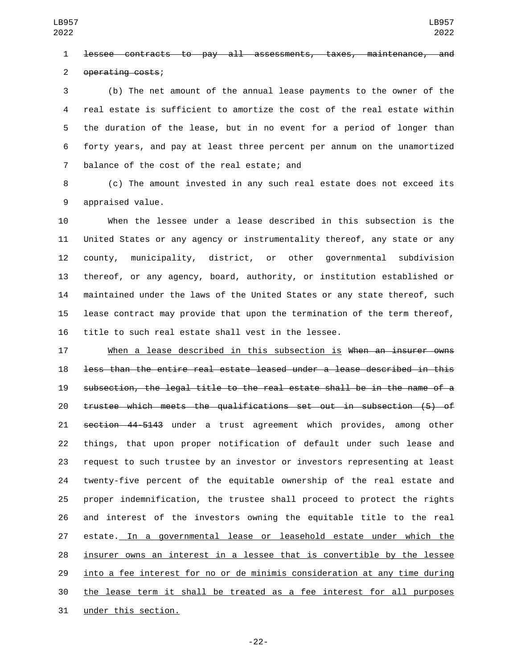lessee contracts to pay all assessments, taxes, maintenance, and 2 operating costs;

 (b) The net amount of the annual lease payments to the owner of the real estate is sufficient to amortize the cost of the real estate within the duration of the lease, but in no event for a period of longer than forty years, and pay at least three percent per annum on the unamortized 7 balance of the cost of the real estate; and

 (c) The amount invested in any such real estate does not exceed its 9 appraised value.

 When the lessee under a lease described in this subsection is the United States or any agency or instrumentality thereof, any state or any county, municipality, district, or other governmental subdivision thereof, or any agency, board, authority, or institution established or maintained under the laws of the United States or any state thereof, such lease contract may provide that upon the termination of the term thereof, title to such real estate shall vest in the lessee.

17 When a lease described in this subsection is when an insurer owns less than the entire real estate leased under a lease described in this subsection, the legal title to the real estate shall be in the name of a trustee which meets the qualifications set out in subsection (5) of section 44-5143 under a trust agreement which provides, among other things, that upon proper notification of default under such lease and request to such trustee by an investor or investors representing at least twenty-five percent of the equitable ownership of the real estate and proper indemnification, the trustee shall proceed to protect the rights and interest of the investors owning the equitable title to the real estate. In a governmental lease or leasehold estate under which the insurer owns an interest in a lessee that is convertible by the lessee into a fee interest for no or de minimis consideration at any time during the lease term it shall be treated as a fee interest for all purposes 31 under this section.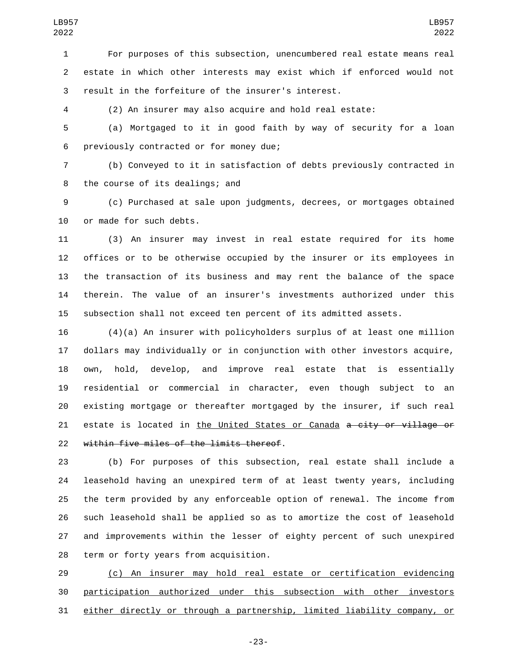For purposes of this subsection, unencumbered real estate means real estate in which other interests may exist which if enforced would not result in the forfeiture of the insurer's interest.

(2) An insurer may also acquire and hold real estate:

 (a) Mortgaged to it in good faith by way of security for a loan 6 previously contracted or for money due;

 (b) Conveyed to it in satisfaction of debts previously contracted in 8 the course of its dealings; and

 (c) Purchased at sale upon judgments, decrees, or mortgages obtained 10 or made for such debts.

 (3) An insurer may invest in real estate required for its home offices or to be otherwise occupied by the insurer or its employees in the transaction of its business and may rent the balance of the space therein. The value of an insurer's investments authorized under this subsection shall not exceed ten percent of its admitted assets.

 (4)(a) An insurer with policyholders surplus of at least one million dollars may individually or in conjunction with other investors acquire, own, hold, develop, and improve real estate that is essentially residential or commercial in character, even though subject to an existing mortgage or thereafter mortgaged by the insurer, if such real 21 estate is located in the United States or Canada a city or village or 22 within five miles of the limits thereof.

 (b) For purposes of this subsection, real estate shall include a leasehold having an unexpired term of at least twenty years, including the term provided by any enforceable option of renewal. The income from such leasehold shall be applied so as to amortize the cost of leasehold and improvements within the lesser of eighty percent of such unexpired 28 term or forty years from acquisition.

 (c) An insurer may hold real estate or certification evidencing participation authorized under this subsection with other investors either directly or through a partnership, limited liability company, or

-23-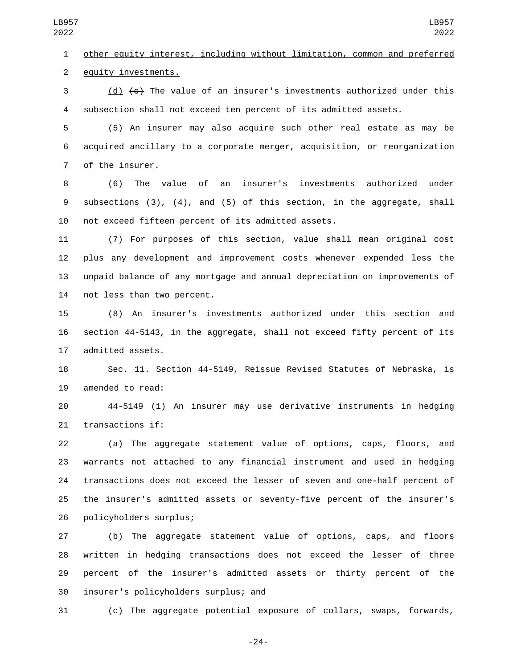other equity interest, including without limitation, common and preferred 2 equity investments.

 (d) (c) The value of an insurer's investments authorized under this subsection shall not exceed ten percent of its admitted assets.

 (5) An insurer may also acquire such other real estate as may be acquired ancillary to a corporate merger, acquisition, or reorganization 7 of the insurer.

 (6) The value of an insurer's investments authorized under subsections (3), (4), and (5) of this section, in the aggregate, shall not exceed fifteen percent of its admitted assets.

 (7) For purposes of this section, value shall mean original cost plus any development and improvement costs whenever expended less the unpaid balance of any mortgage and annual depreciation on improvements of 14 not less than two percent.

 (8) An insurer's investments authorized under this section and section 44-5143, in the aggregate, shall not exceed fifty percent of its 17 admitted assets.

 Sec. 11. Section 44-5149, Reissue Revised Statutes of Nebraska, is 19 amended to read:

 44-5149 (1) An insurer may use derivative instruments in hedging 21 transactions if:

 (a) The aggregate statement value of options, caps, floors, and warrants not attached to any financial instrument and used in hedging transactions does not exceed the lesser of seven and one-half percent of the insurer's admitted assets or seventy-five percent of the insurer's policyholders surplus;26

 (b) The aggregate statement value of options, caps, and floors written in hedging transactions does not exceed the lesser of three percent of the insurer's admitted assets or thirty percent of the 30 insurer's policyholders surplus; and

(c) The aggregate potential exposure of collars, swaps, forwards,

-24-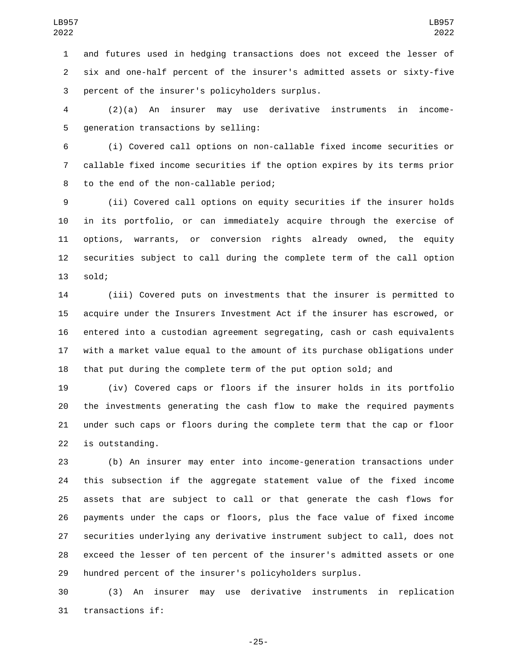and futures used in hedging transactions does not exceed the lesser of six and one-half percent of the insurer's admitted assets or sixty-five 3 percent of the insurer's policyholders surplus.

 (2)(a) An insurer may use derivative instruments in income-5 generation transactions by selling:

 (i) Covered call options on non-callable fixed income securities or callable fixed income securities if the option expires by its terms prior 8 to the end of the non-callable period;

 (ii) Covered call options on equity securities if the insurer holds in its portfolio, or can immediately acquire through the exercise of options, warrants, or conversion rights already owned, the equity securities subject to call during the complete term of the call option 13 sold;

 (iii) Covered puts on investments that the insurer is permitted to acquire under the Insurers Investment Act if the insurer has escrowed, or entered into a custodian agreement segregating, cash or cash equivalents with a market value equal to the amount of its purchase obligations under that put during the complete term of the put option sold; and

 (iv) Covered caps or floors if the insurer holds in its portfolio the investments generating the cash flow to make the required payments under such caps or floors during the complete term that the cap or floor 22 is outstanding.

 (b) An insurer may enter into income-generation transactions under this subsection if the aggregate statement value of the fixed income assets that are subject to call or that generate the cash flows for payments under the caps or floors, plus the face value of fixed income securities underlying any derivative instrument subject to call, does not exceed the lesser of ten percent of the insurer's admitted assets or one hundred percent of the insurer's policyholders surplus.

 (3) An insurer may use derivative instruments in replication 31 transactions if:

-25-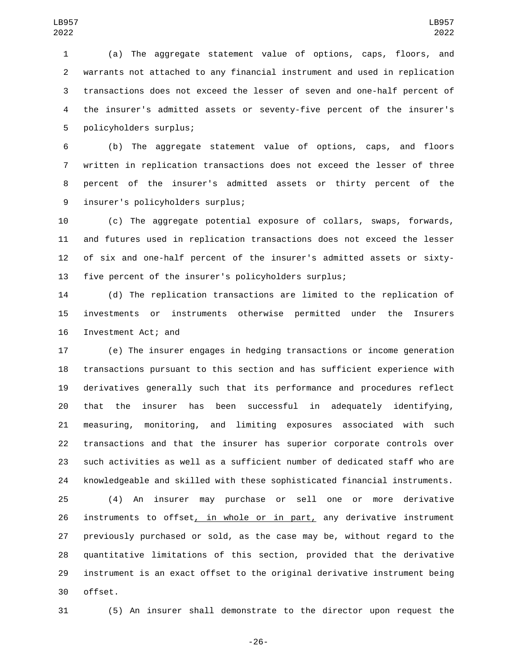(a) The aggregate statement value of options, caps, floors, and warrants not attached to any financial instrument and used in replication transactions does not exceed the lesser of seven and one-half percent of the insurer's admitted assets or seventy-five percent of the insurer's 5 policyholders surplus;

 (b) The aggregate statement value of options, caps, and floors written in replication transactions does not exceed the lesser of three percent of the insurer's admitted assets or thirty percent of the insurer's policyholders surplus;9

 (c) The aggregate potential exposure of collars, swaps, forwards, and futures used in replication transactions does not exceed the lesser of six and one-half percent of the insurer's admitted assets or sixty-five percent of the insurer's policyholders surplus;

 (d) The replication transactions are limited to the replication of investments or instruments otherwise permitted under the Insurers 16 Investment Act; and

 (e) The insurer engages in hedging transactions or income generation transactions pursuant to this section and has sufficient experience with derivatives generally such that its performance and procedures reflect that the insurer has been successful in adequately identifying, measuring, monitoring, and limiting exposures associated with such transactions and that the insurer has superior corporate controls over such activities as well as a sufficient number of dedicated staff who are knowledgeable and skilled with these sophisticated financial instruments.

 (4) An insurer may purchase or sell one or more derivative 26 instruments to offset, in whole or in part, any derivative instrument previously purchased or sold, as the case may be, without regard to the quantitative limitations of this section, provided that the derivative instrument is an exact offset to the original derivative instrument being 30 offset.

(5) An insurer shall demonstrate to the director upon request the

-26-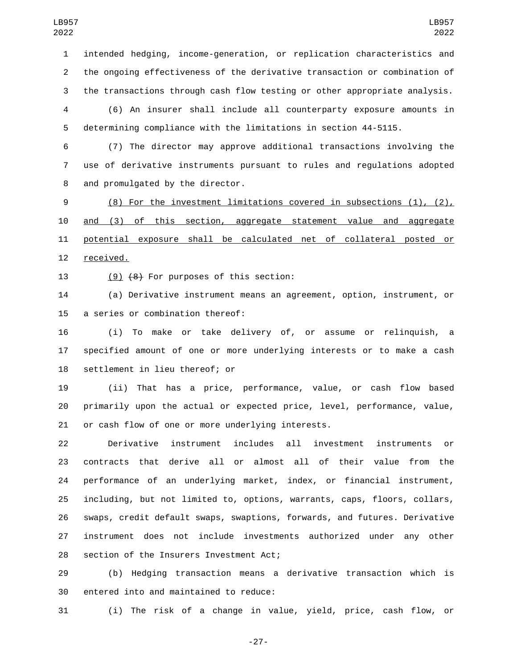intended hedging, income-generation, or replication characteristics and the ongoing effectiveness of the derivative transaction or combination of the transactions through cash flow testing or other appropriate analysis.

 (6) An insurer shall include all counterparty exposure amounts in determining compliance with the limitations in section 44-5115.

 (7) The director may approve additional transactions involving the use of derivative instruments pursuant to rules and regulations adopted 8 and promulgated by the director.

 (8) For the investment limitations covered in subsections (1), (2), and (3) of this section, aggregate statement value and aggregate potential exposure shall be calculated net of collateral posted or 12 received.

13  $(9)$   $(8)$  For purposes of this section:

 (a) Derivative instrument means an agreement, option, instrument, or 15 a series or combination thereof:

 (i) To make or take delivery of, or assume or relinquish, a specified amount of one or more underlying interests or to make a cash 18 settlement in lieu thereof; or

 (ii) That has a price, performance, value, or cash flow based primarily upon the actual or expected price, level, performance, value, 21 or cash flow of one or more underlying interests.

 Derivative instrument includes all investment instruments or contracts that derive all or almost all of their value from the performance of an underlying market, index, or financial instrument, including, but not limited to, options, warrants, caps, floors, collars, swaps, credit default swaps, swaptions, forwards, and futures. Derivative instrument does not include investments authorized under any other 28 section of the Insurers Investment Act;

 (b) Hedging transaction means a derivative transaction which is 30 entered into and maintained to reduce:

(i) The risk of a change in value, yield, price, cash flow, or

-27-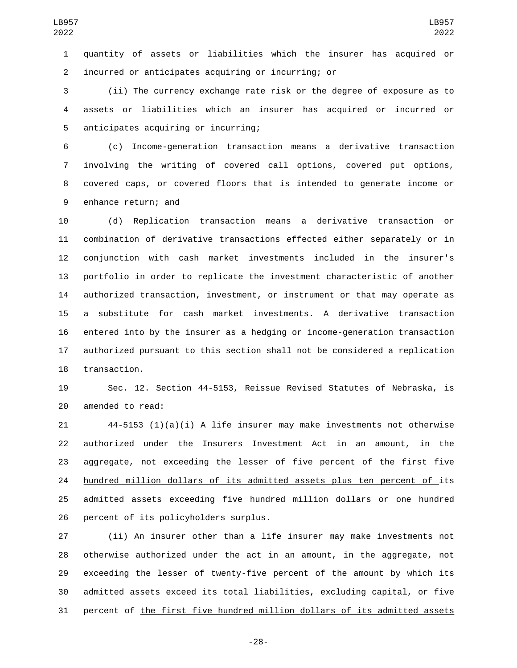quantity of assets or liabilities which the insurer has acquired or incurred or anticipates acquiring or incurring; or2

 (ii) The currency exchange rate risk or the degree of exposure as to assets or liabilities which an insurer has acquired or incurred or 5 anticipates acquiring or incurring;

 (c) Income-generation transaction means a derivative transaction involving the writing of covered call options, covered put options, covered caps, or covered floors that is intended to generate income or 9 enhance return; and

 (d) Replication transaction means a derivative transaction or combination of derivative transactions effected either separately or in conjunction with cash market investments included in the insurer's portfolio in order to replicate the investment characteristic of another authorized transaction, investment, or instrument or that may operate as a substitute for cash market investments. A derivative transaction entered into by the insurer as a hedging or income-generation transaction authorized pursuant to this section shall not be considered a replication 18 transaction.

 Sec. 12. Section 44-5153, Reissue Revised Statutes of Nebraska, is 20 amended to read:

 $44-5153$  (1)(a)(i) A life insurer may make investments not otherwise authorized under the Insurers Investment Act in an amount, in the aggregate, not exceeding the lesser of five percent of the first five hundred million dollars of its admitted assets plus ten percent of its admitted assets exceeding five hundred million dollars or one hundred 26 percent of its policyholders surplus.

 (ii) An insurer other than a life insurer may make investments not otherwise authorized under the act in an amount, in the aggregate, not exceeding the lesser of twenty-five percent of the amount by which its admitted assets exceed its total liabilities, excluding capital, or five percent of the first five hundred million dollars of its admitted assets

-28-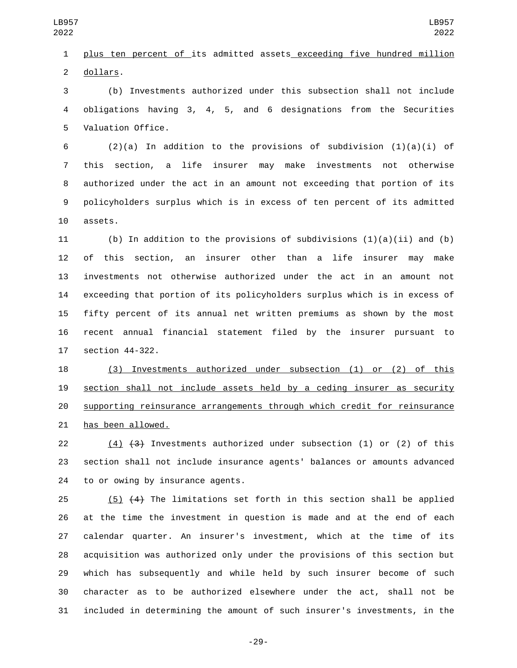plus ten percent of its admitted assets exceeding five hundred million 2 dollars.

 (b) Investments authorized under this subsection shall not include obligations having 3, 4, 5, and 6 designations from the Securities 5 Valuation Office.

6 (2)(a) In addition to the provisions of subdivision  $(1)(a)(i)$  of this section, a life insurer may make investments not otherwise authorized under the act in an amount not exceeding that portion of its policyholders surplus which is in excess of ten percent of its admitted 10 assets.

11 (b) In addition to the provisions of subdivisions  $(1)(a)(ii)$  and  $(b)$  of this section, an insurer other than a life insurer may make investments not otherwise authorized under the act in an amount not exceeding that portion of its policyholders surplus which is in excess of fifty percent of its annual net written premiums as shown by the most recent annual financial statement filed by the insurer pursuant to 17 section 44-322.

 (3) Investments authorized under subsection (1) or (2) of this section shall not include assets held by a ceding insurer as security supporting reinsurance arrangements through which credit for reinsurance 21 has been allowed.

 (4) (3) Investments authorized under subsection (1) or (2) of this section shall not include insurance agents' balances or amounts advanced 24 to or owing by insurance agents.

 (5) (4) The limitations set forth in this section shall be applied at the time the investment in question is made and at the end of each calendar quarter. An insurer's investment, which at the time of its acquisition was authorized only under the provisions of this section but which has subsequently and while held by such insurer become of such character as to be authorized elsewhere under the act, shall not be included in determining the amount of such insurer's investments, in the

-29-